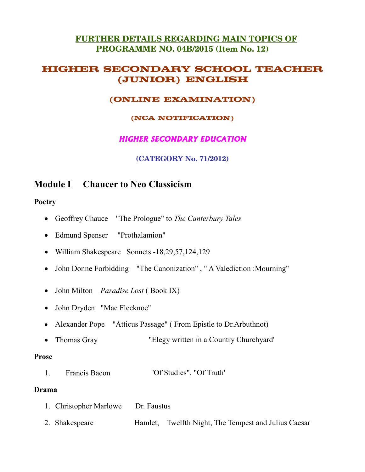#### FURTHER DETAILS REGARDING MAIN TOPICS OF PROGRAMME NO. 04B/2015 (Item No. 12)

#### **HIGHER SECONDARY SCHOOL TEACHER** (JUNIOR) ENGLISH

#### (ONLINE EXAMINATION)

#### (NCA NOTIFICATION)

#### **HIGHER SECONDARY EDUCATION**

#### **(CATEGORY No. 71/2012)**

#### **Chaucer to Neo Classicism Module I**

#### **Poetry**

- Geoffrey Chauce "The Prologue" to The Canterbury Tales
- Edmund Spenser "Prothalamion"
- William Shakespeare Sonnets -18,29,57,124,129
- John Donne Forbidding "The Canonization", "A Valediction : Mourning"
- John Milton *Paradise Lost* (Book IX)
- John Dryden "Mac Flecknoe"
- Alexander Pope "Atticus Passage" (From Epistle to Dr. Arbuthnot)
- $\bullet$  Thomas Gray "Elegy written in a Country Churchyard"

#### **Prose**

'Of Studies", "Of Truth'  $\mathbf{1}$ Francis Bacon

#### Drama

| 1. Christopher Marlowe Dr. Faustus |                                                      |
|------------------------------------|------------------------------------------------------|
| 2. Shakespeare                     | Hamlet, Twelfth Night, The Tempest and Julius Caesar |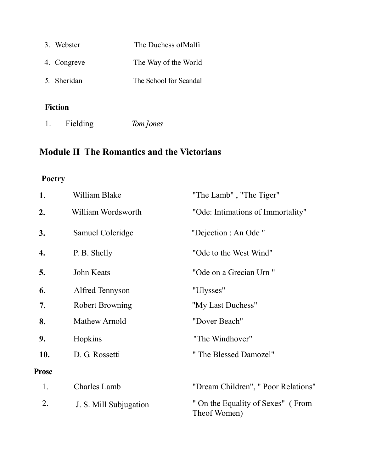| 3. Webster  | The Duchess of Malfi   |
|-------------|------------------------|
| 4. Congreve | The Way of the World   |
| 5. Sheridan | The School for Scandal |
|             |                        |

## Fiction

Fielding Tom Jones  $1.$ 

## **Module II The Romantics and the Victorians**

## Poetry

| 1.           | William Blake          | "The Lamb", "The Tiger"                           |
|--------------|------------------------|---------------------------------------------------|
| 2.           | William Wordsworth     | "Ode: Intimations of Immortality"                 |
| 3.           | Samuel Coleridge       | "Dejection : An Ode "                             |
| 4.           | P. B. Shelly           | "Ode to the West Wind"                            |
| 5.           | John Keats             | "Ode on a Grecian Urn"                            |
| 6.           | Alfred Tennyson        | "Ulysses"                                         |
| 7.           | <b>Robert Browning</b> | "My Last Duchess"                                 |
| 8.           | Mathew Arnold          | "Dover Beach"                                     |
| 9.           | Hopkins                | "The Windhover"                                   |
| 10.          | D. G. Rossetti         | "The Blessed Damozel"                             |
| <b>Prose</b> |                        |                                                   |
| 1.           | <b>Charles Lamb</b>    | "Dream Children", " Poor Relations"               |
| 2.           | J. S. Mill Subjugation | " On the Equality of Sexes" (From<br>Theof Women) |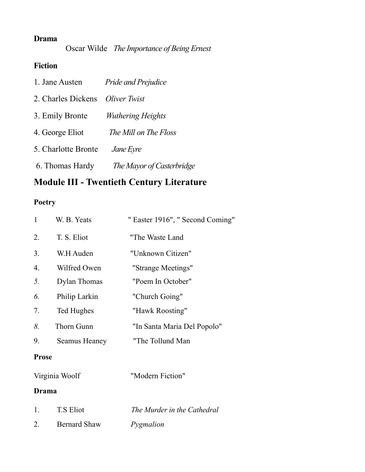## **Drama**

Oscar Wilde The Importance of Being Ernest

## Fiction

| 1. Jane Austen      | <b>Pride and Prejudice</b> |
|---------------------|----------------------------|
| 2. Charles Dickens  | Oliver Twist               |
| 3. Emily Bronte     | <b>Wuthering Heights</b>   |
| 4. George Eliot     | The Mill on The Floss      |
| 5. Charlotte Bronte | <i>Jane Eyre</i>           |
| 6. Thomas Hardy     | The Mayor of Casterbridge  |

## **Module III - Twentieth Century Literature**

## Poetry

| $\mathbf{1}$     | W. B. Yeats    | " Easter 1916", " Second Coming" |
|------------------|----------------|----------------------------------|
| 2.               | T. S. Eliot    | "The Waste Land                  |
| 3.               | W.H Auden      | "Unknown Citizen"                |
| $\overline{4}$ . | Wilfred Owen   | "Strange Meetings"               |
| 5.               | Dylan Thomas   | "Poem In October"                |
| 6.               | Philip Larkin  | "Church Going"                   |
| 7.               | Ted Hughes     | "Hawk Roosting"                  |
| 8.               | Thorn Gunn     | "In Santa Maria Del Popolo"      |
| 9.               | Seamus Heaney  | "The Tollund Man                 |
| <b>Prose</b>     |                |                                  |
|                  | Virginia Woolf | "Modern Fiction"                 |

#### **Drama**

| T.S Eliot           | The Murder in the Cathedral |
|---------------------|-----------------------------|
| <b>Bernard Shaw</b> | Pygmalion                   |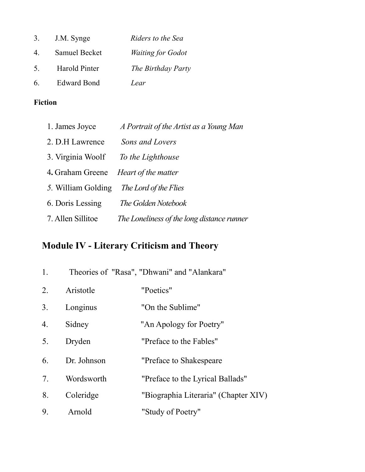| 3.             | J.M. Synge         | Riders to the Sea        |
|----------------|--------------------|--------------------------|
| $\overline{4}$ | Samuel Becket      | <b>Waiting for Godot</b> |
| 5 <sup>7</sup> | Harold Pinter      | The Birthday Party       |
| 6.             | <b>Edward Bond</b> | Lear                     |

## Fiction

| 1. James Joyce                              | A Portrait of the Artist as a Young Man    |
|---------------------------------------------|--------------------------------------------|
| 2. D.H Lawrence                             | Sons and Lovers                            |
| 3. Virginia Woolf                           | To the Lighthouse                          |
| 4. Graham Greene <i>Heart of the matter</i> |                                            |
| 5. William Golding                          | The Lord of the Flies                      |
| 6. Doris Lessing                            | <i>The Golden Notebook</i>                 |
| 7. Allen Sillitoe                           | The Loneliness of the long distance runner |

# Module IV - Literary Criticism and Theory

| 1.          |             | Theories of "Rasa", "Dhwani" and "Alankara" |
|-------------|-------------|---------------------------------------------|
| 2.          | Aristotle   | "Poetics"                                   |
| 3.          | Longinus    | "On the Sublime"                            |
| 4.          | Sidney      | "An Apology for Poetry"                     |
| 5.          | Dryden      | "Preface to the Fables"                     |
| 6.          | Dr. Johnson | "Preface to Shakespeare                     |
| $7_{\cdot}$ | Wordsworth  | "Preface to the Lyrical Ballads"            |
| 8.          | Coleridge   | "Biographia Literaria" (Chapter XIV)        |
| 9.          | Arnold      | "Study of Poetry"                           |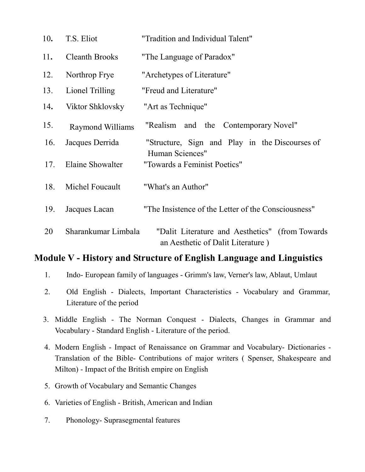| 10. | T.S. Eliot              | "Tradition and Individual Talent"                                                    |
|-----|-------------------------|--------------------------------------------------------------------------------------|
| 11. | <b>Cleanth Brooks</b>   | "The Language of Paradox"                                                            |
| 12. | Northrop Frye           | "Archetypes of Literature"                                                           |
| 13. | Lionel Trilling         | "Freud and Literature"                                                               |
| 14. | Viktor Shklovsky        | "Art as Technique"                                                                   |
| 15. | <b>Raymond Williams</b> | "Realism and the Contemporary Novel"                                                 |
| 16. | Jacques Derrida         | "Structure, Sign and Play in the Discourses of                                       |
| 17. | <b>Elaine Showalter</b> | Human Sciences"<br>"Towards a Feminist Poetics"                                      |
| 18. | Michel Foucault         | "What's an Author"                                                                   |
| 19. | Jacques Lacan           | "The Insistence of the Letter of the Consciousness"                                  |
| 20  | Sharankumar Limbala     | "Dalit Literature and Aesthetics" (from Towards<br>an Aesthetic of Dalit Literature) |

## Module V - History and Structure of English Language and Linguistics

- Indo- European family of languages Grimm's law, Verner's law, Ablaut, Umlaut  $1.$
- Old English Dialects, Important Characteristics Vocabulary and Grammar,  $2.$ Literature of the period
- 3. Middle English The Norman Conquest Dialects, Changes in Grammar and Vocabulary - Standard English - Literature of the period.
- 4. Modern English Impact of Renaissance on Grammar and Vocabulary- Dictionaries -Translation of the Bible- Contributions of major writers (Spenser, Shakespeare and Milton) - Impact of the British empire on English
- 5. Growth of Vocabulary and Semantic Changes
- 6. Varieties of English British, American and Indian
- Phonology- Suprasegmental features  $7.$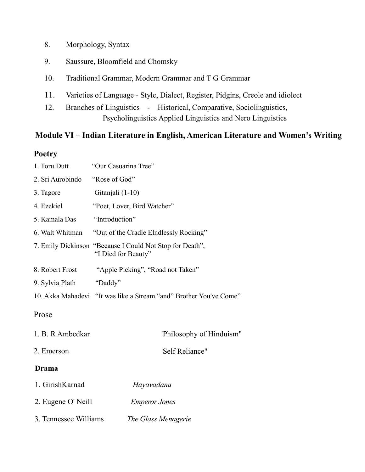- 8. Morphology, Syntax
- 9. Saussure, Bloomfield and Chomsky
- 10. Traditional Grammar, Modern Grammar and T G Grammar
- 11. Varieties of Language - Style, Dialect, Register, Pidgins, Creole and idiolect
- 12. Branches of Linguistics - Historical, Comparative, Sociolinguistics, Psycholinguistics Applied Linguistics and Nero Linguistics

#### Module VI – Indian Literature in English, American Literature and Women's Writing

#### **Poetry**

| 1. Toru Dutt          | "Our Casuarina Tree"                                                            |  |  |
|-----------------------|---------------------------------------------------------------------------------|--|--|
| 2. Sri Aurobindo      | "Rose of God"                                                                   |  |  |
| 3. Tagore             | Gitanjali (1-10)                                                                |  |  |
| 4. Ezekiel            | "Poet, Lover, Bird Watcher"                                                     |  |  |
| 5. Kamala Das         | "Introduction"                                                                  |  |  |
| 6. Walt Whitman       | "Out of the Cradle Elndlessly Rocking"                                          |  |  |
|                       | 7. Emily Dickinson "Because I Could Not Stop for Death",<br>"I Died for Beauty" |  |  |
| 8. Robert Frost       | "Apple Picking", "Road not Taken"                                               |  |  |
| 9. Sylvia Plath       | "Daddy"                                                                         |  |  |
|                       | 10. Akka Mahadevi "It was like a Stream "and" Brother You've Come"              |  |  |
| Prose                 |                                                                                 |  |  |
| 1. B. R Ambedkar      | 'Philosophy of Hinduism''                                                       |  |  |
| 2. Emerson            | 'Self Reliance"                                                                 |  |  |
| <b>Drama</b>          |                                                                                 |  |  |
| 1. GirishKarnad       | Hayavadana                                                                      |  |  |
| 2. Eugene O' Neill    | <b>Emperor Jones</b>                                                            |  |  |
| 3. Tennessee Williams | The Glass Menagerie                                                             |  |  |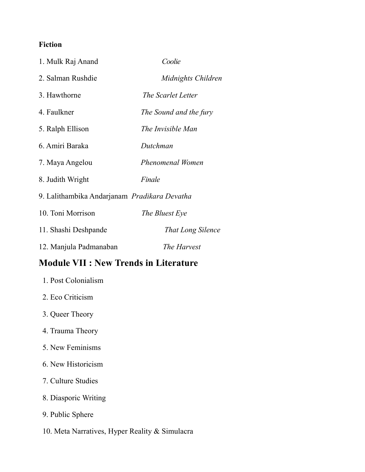#### **Fiction**

| 1. Mulk Raj Anand                            | Coolie                   |
|----------------------------------------------|--------------------------|
| 2. Salman Rushdie                            | Midnights Children       |
| 3. Hawthorne                                 | The Scarlet Letter       |
| 4. Faulkner                                  | The Sound and the fury   |
| 5. Ralph Ellison                             | The Invisible Man        |
| 6. Amiri Baraka                              | Dutchman                 |
| 7. Maya Angelou                              | <b>Phenomenal Women</b>  |
| 8. Judith Wright                             | Finale                   |
| 9. Lalithambika Andarjanam Pradikara Devatha |                          |
| 10. Toni Morrison                            | The Bluest Eye           |
| 11. Shashi Deshpande                         | <b>That Long Silence</b> |
| 12. Manjula Padmanaban                       | The Harvest              |

## **Module VII : New Trends in Literature**

| 1. Post Colonialism |  |
|---------------------|--|
| 2. Eco Criticism    |  |
| 3. Queer Theory     |  |

- 4. Trauma Theory
- 5. New Feminisms
- 6. New Historicism
- 7. Culture Studies
- 8. Diasporic Writing
- 9. Public Sphere
- 10. Meta Narratives, Hyper Reality & Simulacra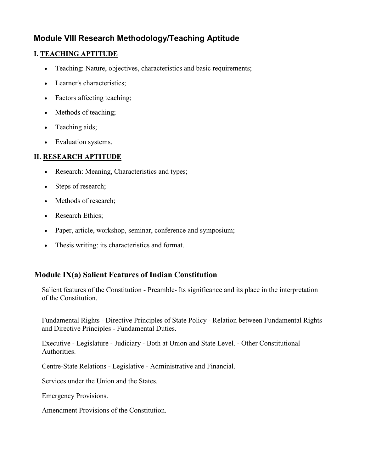### **Module VIII Research Methodology/Teaching Aptitude**

#### **I. TEACHING APTITUDE**

- Teaching: Nature, objectives, characteristics and basic requirements;
- Learner's characteristics;
- Factors affecting teaching;
- Methods of teaching:
- $\bullet$  Teaching aids;
- Evaluation systems.

#### **II. RESEARCH APTITUDE**

- Research: Meaning, Characteristics and types;
- Steps of research;
- Methods of research;
- Research Ethics;
- Paper, article, workshop, seminar, conference and symposium;
- Thesis writing: its characteristics and format.

#### **Module IX(a) Salient Features of Indian Constitution**

Salient features of the Constitution - Preamble- Its significance and its place in the interpretation of the Constitution.

Fundamental Rights - Directive Principles of State Policy - Relation between Fundamental Rights and Directive Principles - Fundamental Duties.

Executive - Legislature - Judiciary - Both at Union and State Level. - Other Constitutional Authorities.

Centre-State Relations - Legislative - Administrative and Financial.

Services under the Union and the States.

**Emergency Provisions.** 

Amendment Provisions of the Constitution.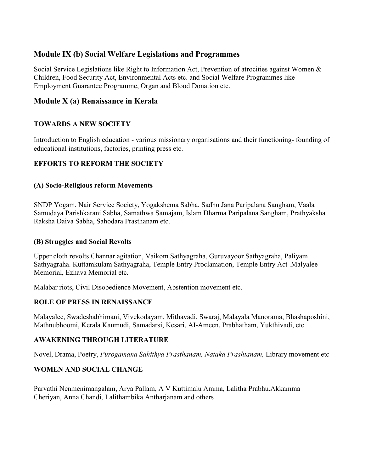#### **Module IX (b) Social Welfare Legislations and Programmes**

Social Service Legislations like Right to Information Act, Prevention of atrocities against Women & Children, Food Security Act, Environmental Acts etc. and Social Welfare Programmes like Employment Guarantee Programme, Organ and Blood Donation etc.

#### Module X (a) Renaissance in Kerala

#### **TOWARDS A NEW SOCIETY**

Introduction to English education - various missionary organisations and their functioning-founding of educational institutions, factories, printing press etc.

#### **EFFORTS TO REFORM THE SOCIETY**

#### (A) Socio-Religious reform Movements

SNDP Yogam, Nair Service Society, Yogakshema Sabha, Sadhu Jana Paripalana Sangham, Vaala Samudaya Parishkarani Sabha, Samathwa Samajam, Islam Dharma Paripalana Sangham, Prathyaksha Raksha Daiya Sabha, Sahodara Prasthanam etc.

#### (B) Struggles and Social Revolts

Upper cloth revolts. Channar agitation, Vaikom Sathyagraha, Guruvayoor Sathyagraha, Paliyam Sathyagraha. Kuttamkulam Sathyagraha, Temple Entry Proclamation, Temple Entry Act .Malyalee Memorial, Ezhava Memorial etc.

Malabar riots, Civil Disobedience Movement, Abstention movement etc.

#### **ROLE OF PRESS IN RENAISSANCE**

Malayalee, Swadeshabhimani, Vivekodayam, Mithayadi, Swaraj, Malayala Manorama, Bhashaposhini, Mathnubhoomi, Kerala Kaumudi, Samadarsi, Kesari, AI-Ameen, Prabhatham, Yukthivadi, etc

#### **AWAKENING THROUGH LITERATURE**

Novel, Drama, Poetry, Purogamana Sahithya Prasthanam, Nataka Prashtanam, Library movement etc

#### **WOMEN AND SOCIAL CHANGE**

Parvathi Nenmenimangalam, Arya Pallam, A V Kuttimalu Amma, Lalitha Prabhu. Akkamma Cheriyan, Anna Chandi, Lalithambika Antharianam and others